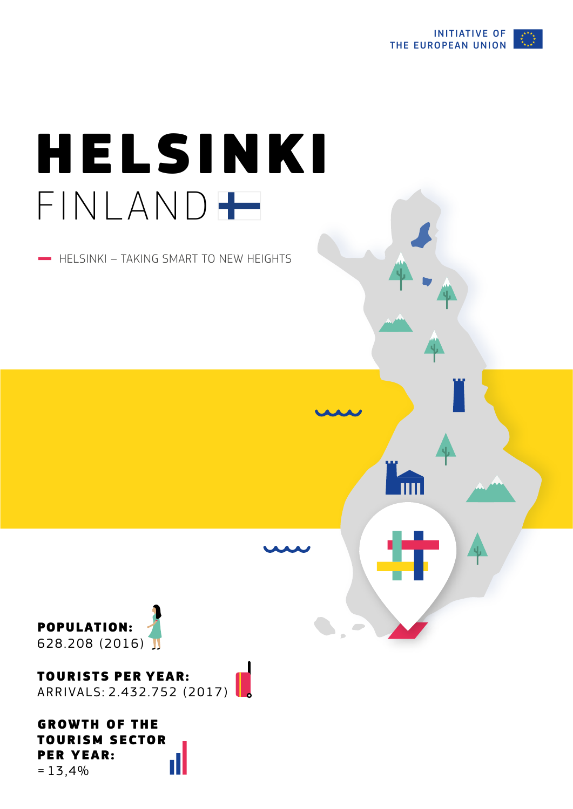

Fill

# FINLAND<sup>+</sup> HELSINKI

HELSINKI – TAKING SMART TO NEW HEIGHTS



# TOURISTS PER YEAR: ARRIVALS: 2.432.752 (2017)

GROWTH OF THE TOURISM SECTOR PER YEAR: T  $= 13,4%$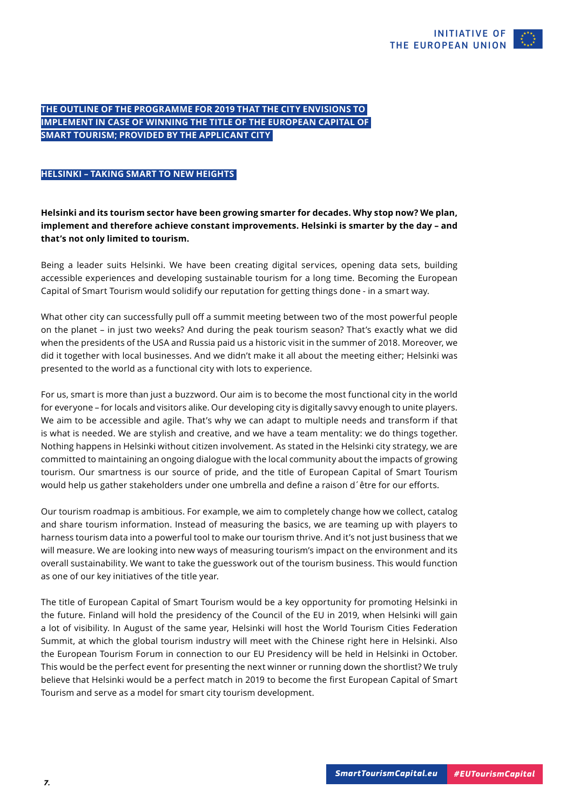# **THE OUTLINE OF THE PROGRAMME FOR 2019 THAT THE CITY ENVISIONS TO IMPLEMENT IN CASE OF WINNING THE TITLE OF THE EUROPEAN CAPITAL OF SMART TOURISM; PROVIDED BY THE APPLICANT CITY**

## **HELSINKI – TAKING SMART TO NEW HEIGHTS**

**Helsinki and its tourism sector have been growing smarter for decades. Why stop now? We plan, implement and therefore achieve constant improvements. Helsinki is smarter by the day – and that's not only limited to tourism.**

Being a leader suits Helsinki. We have been creating digital services, opening data sets, building accessible experiences and developing sustainable tourism for a long time. Becoming the European Capital of Smart Tourism would solidify our reputation for getting things done - in a smart way.

What other city can successfully pull off a summit meeting between two of the most powerful people on the planet – in just two weeks? And during the peak tourism season? That's exactly what we did when the presidents of the USA and Russia paid us a historic visit in the summer of 2018. Moreover, we did it together with local businesses. And we didn't make it all about the meeting either; Helsinki was presented to the world as a functional city with lots to experience.

For us, smart is more than just a buzzword. Our aim is to become the most functional city in the world for everyone – for locals and visitors alike. Our developing city is digitally savvy enough to unite players. We aim to be accessible and agile. That's why we can adapt to multiple needs and transform if that is what is needed. We are stylish and creative, and we have a team mentality: we do things together. Nothing happens in Helsinki without citizen involvement. As stated in the Helsinki city strategy, we are committed to maintaining an ongoing dialogue with the local community about the impacts of growing tourism. Our smartness is our source of pride, and the title of European Capital of Smart Tourism would help us gather stakeholders under one umbrella and defne a raison d´être for our eforts.

Our tourism roadmap is ambitious. For example, we aim to completely change how we collect, catalog and share tourism information. Instead of measuring the basics, we are teaming up with players to harness tourism data into a powerful tool to make our tourism thrive. And it's not just business that we will measure. We are looking into new ways of measuring tourism's impact on the environment and its overall sustainability. We want to take the guesswork out of the tourism business. This would function as one of our key initiatives of the title year.

The title of European Capital of Smart Tourism would be a key opportunity for promoting Helsinki in the future. Finland will hold the presidency of the Council of the EU in 2019, when Helsinki will gain a lot of visibility. In August of the same year, Helsinki will host the World Tourism Cities Federation Summit, at which the global tourism industry will meet with the Chinese right here in Helsinki. Also the European Tourism Forum in connection to our EU Presidency will be held in Helsinki in October. This would be the perfect event for presenting the next winner or running down the shortlist? We truly believe that Helsinki would be a perfect match in 2019 to become the frst European Capital of Smart Tourism and serve as a model for smart city tourism development.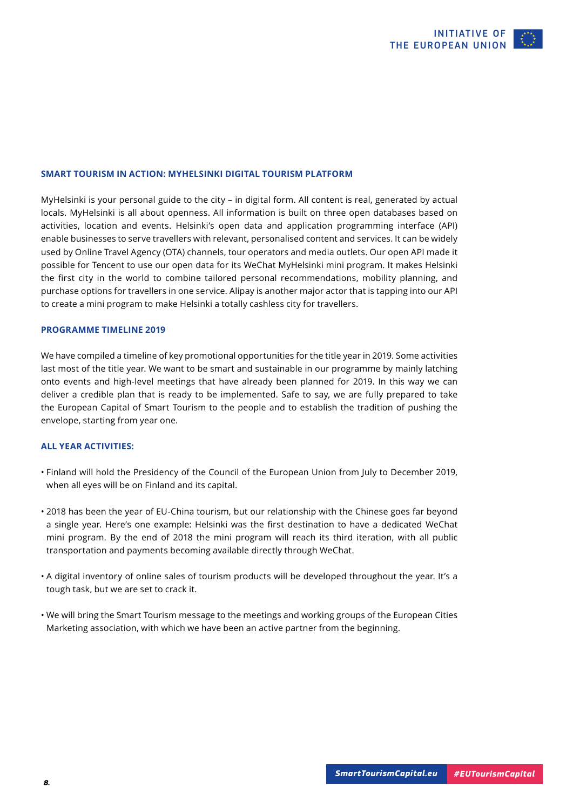#### **SMART TOURISM IN ACTION: MYHELSINKI DIGITAL TOURISM PLATFORM**

MyHelsinki is your personal guide to the city – in digital form. All content is real, generated by actual locals. MyHelsinki is all about openness. All information is built on three open databases based on activities, location and events. Helsinki's open data and application programming interface (API) enable businesses to serve travellers with relevant, personalised content and services. It can be widely used by Online Travel Agency (OTA) channels, tour operators and media outlets. Our open API made it possible for Tencent to use our open data for its WeChat MyHelsinki mini program. It makes Helsinki the first city in the world to combine tailored personal recommendations, mobility planning, and purchase options for travellers in one service. Alipay is another major actor that is tapping into our API to create a mini program to make Helsinki a totally cashless city for travellers.

#### **PROGRAMME TIMELINE 2019**

We have compiled a timeline of key promotional opportunities for the title year in 2019. Some activities last most of the title year. We want to be smart and sustainable in our programme by mainly latching onto events and high-level meetings that have already been planned for 2019. In this way we can deliver a credible plan that is ready to be implemented. Safe to say, we are fully prepared to take the European Capital of Smart Tourism to the people and to establish the tradition of pushing the envelope, starting from year one.

# **ALL YEAR ACTIVITIES:**

- Finland will hold the Presidency of the Council of the European Union from July to December 2019, when all eyes will be on Finland and its capital.
- 2018 has been the year of EU-China tourism, but our relationship with the Chinese goes far beyond a single year. Here's one example: Helsinki was the frst destination to have a dedicated WeChat mini program. By the end of 2018 the mini program will reach its third iteration, with all public transportation and payments becoming available directly through WeChat.
- A digital inventory of online sales of tourism products will be developed throughout the year. It's a tough task, but we are set to crack it.
- We will bring the Smart Tourism message to the meetings and working groups of the European Cities Marketing association, with which we have been an active partner from the beginning.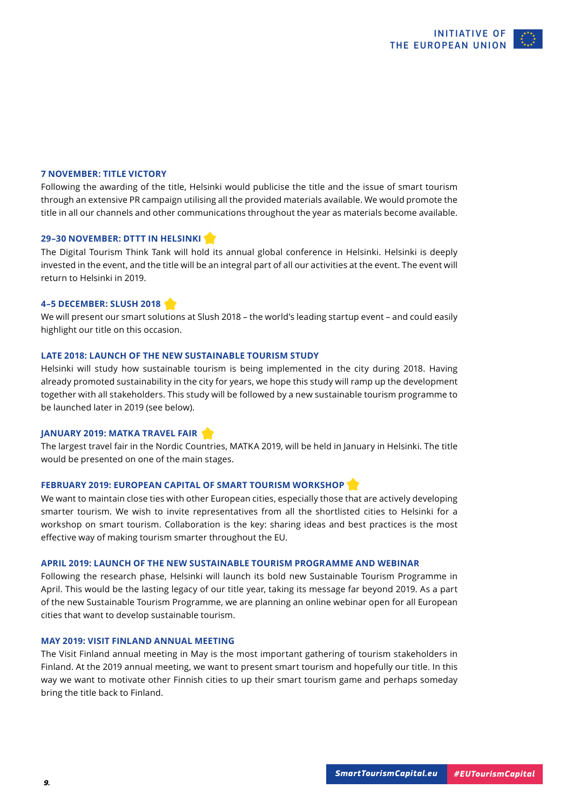#### **7 NOVEMBER: TITLE VICTORY**

Following the awarding of the title, Helsinki would publicise the title and the issue of smart tourism through an extensive PR campaign utilising all the provided materials available. We would promote the title in all our channels and other communications throughout the year as materials become available.

#### **29–30 NOVEMBER: DTTT IN HELSINKI**

The Digital Tourism Think Tank will hold its annual global conference in Helsinki. Helsinki is deeply invested in the event, and the title will be an integral part of all our activities at the event. The event will return to Helsinki in 2019.

#### **4–5 DECEMBER: SLUSH 2018**

We will present our smart solutions at Slush 2018 – the world's leading startup event – and could easily highlight our title on this occasion.

#### **LATE 2018: LAUNCH OF THE NEW SUSTAINABLE TOURISM STUDY**

Helsinki will study how sustainable tourism is being implemented in the city during 2018. Having already promoted sustainability in the city for years, we hope this study will ramp up the development together with all stakeholders. This study will be followed by a new sustainable tourism programme to be launched later in 2019 (see below).

#### **JANUARY 2019: MATKA TRAVEL FAIR**

The largest travel fair in the Nordic Countries, MATKA 2019, will be held in January in Helsinki. The title would be presented on one of the main stages.

#### **FEBRUARY 2019: EUROPEAN CAPITAL OF SMART TOURISM WORKSHOP**

We want to maintain close ties with other European cities, especially those that are actively developing smarter tourism. We wish to invite representatives from all the shortlisted cities to Helsinki for a workshop on smart tourism. Collaboration is the key: sharing ideas and best practices is the most efective way of making tourism smarter throughout the EU.

#### **APRIL 2019: LAUNCH OF THE NEW SUSTAINABLE TOURISM PROGRAMME AND WEBINAR**

Following the research phase, Helsinki will launch its bold new Sustainable Tourism Programme in April. This would be the lasting legacy of our title year, taking its message far beyond 2019. As a part of the new Sustainable Tourism Programme, we are planning an online webinar open for all European cities that want to develop sustainable tourism.

### **MAY 2019: VISIT FINLAND ANNUAL MEETING**

The Visit Finland annual meeting in May is the most important gathering of tourism stakeholders in Finland. At the 2019 annual meeting, we want to present smart tourism and hopefully our title. In this way we want to motivate other Finnish cities to up their smart tourism game and perhaps someday bring the title back to Finland.